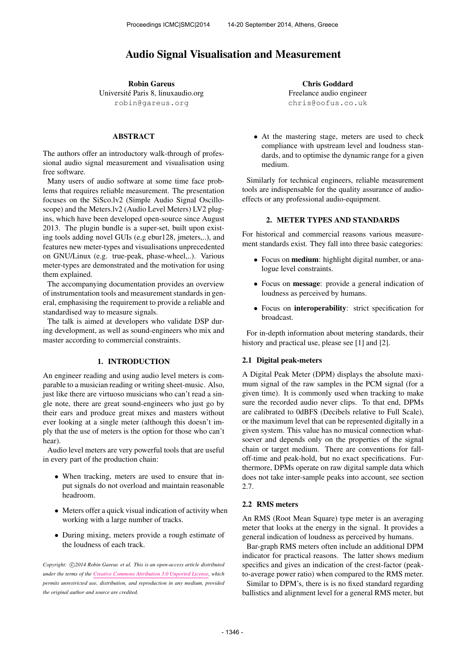# Audio Signal Visualisation and Measurement

Robin Gareus

Universite Paris 8, linuxaudio.org ´ [robin@gareus.org](mailto:robin@gareus.org)

## ABSTRACT

The authors offer an introductory walk-through of professional audio signal measurement and visualisation using free software.

Many users of audio software at some time face problems that requires reliable measurement. The presentation focuses on the SiSco.lv2 (Simple Audio Signal Oscilloscope) and the Meters.lv2 (Audio Level Meters) LV2 plugins, which have been developed open-source since August 2013. The plugin bundle is a super-set, built upon existing tools adding novel GUIs (e.g ebur128, jmeters,..), and features new meter-types and visualisations unprecedented on GNU/Linux (e.g. true-peak, phase-wheel,..). Various meter-types are demonstrated and the motivation for using them explained.

The accompanying documentation provides an overview of instrumentation tools and measurement standards in general, emphasising the requirement to provide a reliable and standardised way to measure signals.

The talk is aimed at developers who validate DSP during development, as well as sound-engineers who mix and master according to commercial constraints.

#### 1. INTRODUCTION

An engineer reading and using audio level meters is comparable to a musician reading or writing sheet-music. Also, just like there are virtuoso musicians who can't read a single note, there are great sound-engineers who just go by their ears and produce great mixes and masters without ever looking at a single meter (although this doesn't imply that the use of meters is the option for those who can't hear).

Audio level meters are very powerful tools that are useful in every part of the production chain:

- When tracking, meters are used to ensure that input signals do not overload and maintain reasonable headroom.
- Meters offer a quick visual indication of activity when working with a large number of tracks.
- During mixing, meters provide a rough estimate of the loudness of each track.

Copyright:  $\bigcirc$ 2014 Robin Gareus et al. This is an open-access article distributed *under the terms of the [Creative Commons Attribution 3.0 Unported License,](http://creativecommons.org/licenses/by/3.0/) which permits unrestricted use, distribution, and reproduction in any medium, provided the original author and source are credited.*

Chris Goddard Freelance audio engineer [chris@oofus.co.uk](mailto:chris@oofus.co.uk)

• At the mastering stage, meters are used to check compliance with upstream level and loudness standards, and to optimise the dynamic range for a given medium.

Similarly for technical engineers, reliable measurement tools are indispensable for the quality assurance of audioeffects or any professional audio-equipment.

# 2. METER TYPES AND STANDARDS

For historical and commercial reasons various measurement standards exist. They fall into three basic categories:

- Focus on medium: highlight digital number, or analogue level constraints.
- Focus on message: provide a general indication of loudness as perceived by humans.
- Focus on interoperability: strict specification for broadcast.

For in-depth information about metering standards, their history and practical use, please see [1] and [2].

## 2.1 Digital peak-meters

A Digital Peak Meter (DPM) displays the absolute maximum signal of the raw samples in the PCM signal (for a given time). It is commonly used when tracking to make sure the recorded audio never clips. To that end, DPMs are calibrated to 0dBFS (Decibels relative to Full Scale), or the maximum level that can be represented digitally in a given system. This value has no musical connection whatsoever and depends only on the properties of the signal chain or target medium. There are conventions for falloff-time and peak-hold, but no exact specifications. Furthermore, DPMs operate on raw digital sample data which does not take inter-sample peaks into account, see section 2.7.

#### 2.2 RMS meters

An RMS (Root Mean Square) type meter is an averaging meter that looks at the energy in the signal. It provides a general indication of loudness as perceived by humans.

Bar-graph RMS meters often include an additional DPM indicator for practical reasons. The latter shows medium specifics and gives an indication of the crest-factor (peakto-average power ratio) when compared to the RMS meter.

Similar to DPM's, there is is no fixed standard regarding ballistics and alignment level for a general RMS meter, but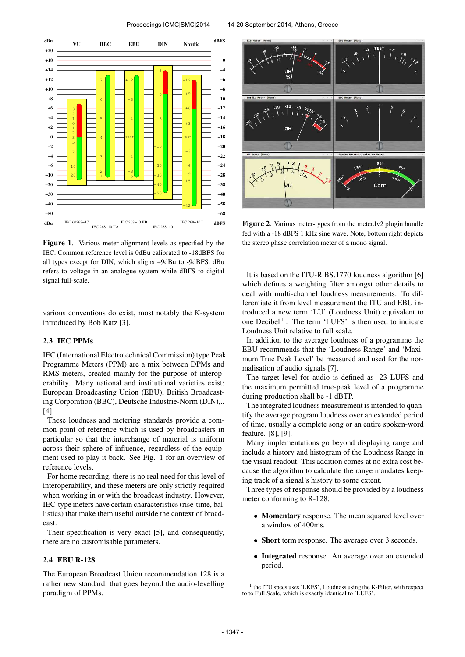

Figure 1. Various meter alignment levels as specified by the IEC. Common reference level is 0dBu calibrated to -18dBFS for all types except for DIN, which aligns +9dBu to -9dBFS. dBu refers to voltage in an analogue system while dBFS to digital signal full-scale.

various conventions do exist, most notably the K-system introduced by Bob Katz [3].

## 2.3 IEC PPMs

IEC (International Electrotechnical Commission) type Peak Programme Meters (PPM) are a mix between DPMs and RMS meters, created mainly for the purpose of interoperability. Many national and institutional varieties exist: European Broadcasting Union (EBU), British Broadcasting Corporation (BBC), Deutsche Industrie-Norm (DIN),.. [4].

These loudness and metering standards provide a common point of reference which is used by broadcasters in particular so that the interchange of material is uniform across their sphere of influence, regardless of the equipment used to play it back. See Fig. 1 for an overview of reference levels.

For home recording, there is no real need for this level of interoperability, and these meters are only strictly required when working in or with the broadcast industry. However, IEC-type meters have certain characteristics (rise-time, ballistics) that make them useful outside the context of broadcast.

Their specification is very exact [5], and consequently, there are no customisable parameters.

## 2.4 EBU R-128

The European Broadcast Union recommendation 128 is a rather new standard, that goes beyond the audio-levelling paradigm of PPMs.



Figure 2. Various meter-types from the meter. Iv2 plugin bundle fed with a -18 dBFS 1 kHz sine wave. Note, bottom right depicts the stereo phase correlation meter of a mono signal.

It is based on the ITU-R BS.1770 loudness algorithm [6] which defines a weighting filter amongst other details to deal with multi-channel loudness measurements. To differentiate it from level measurement the ITU and EBU introduced a new term 'LU' (Loudness Unit) equivalent to one Decibel<sup>1</sup>. The term 'LUFS' is then used to indicate Loudness Unit relative to full scale.

In addition to the average loudness of a programme the EBU recommends that the 'Loudness Range' and 'Maximum True Peak Level' be measured and used for the normalisation of audio signals [7].

The target level for audio is defined as -23 LUFS and the maximum permitted true-peak level of a programme during production shall be -1 dBTP.

The integrated loudness measurement is intended to quantify the average program loudness over an extended period of time, usually a complete song or an entire spoken-word feature. [8], [9].

Many implementations go beyond displaying range and include a history and histogram of the Loudness Range in the visual readout. This addition comes at no extra cost because the algorithm to calculate the range mandates keeping track of a signal's history to some extent.

Three types of response should be provided by a loudness meter conforming to R-128:

- Momentary response. The mean squared level over a window of 400ms.
- Short term response. The average over 3 seconds.
- Integrated response. An average over an extended period.

<sup>&</sup>lt;sup>1</sup> the ITU specs uses 'LKFS', Loudness using the K-Filter, with respect to to Full Scale, which is exactly identical to 'LUFS'.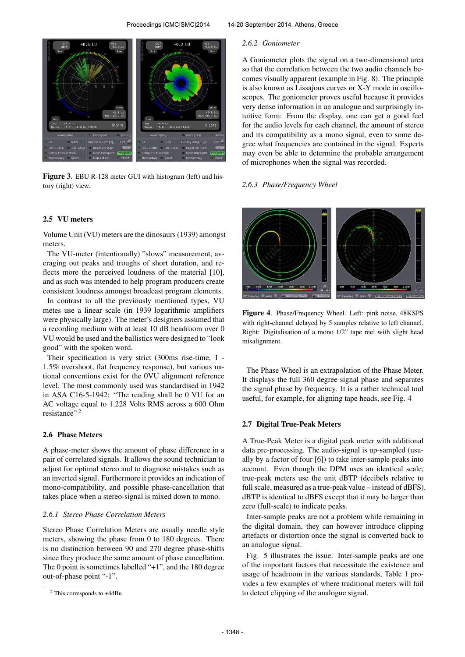

Figure 3. EBU R-128 meter GUI with histogram (left) and history (right) view.

## 2.5 VU meters

Volume Unit (VU) meters are the dinosaurs (1939) amongst meters.

The VU-meter (intentionally) "slows" measurement, averaging out peaks and troughs of short duration, and reflects more the perceived loudness of the material [10], and as such was intended to help program producers create consistent loudness amongst broadcast program elements.

In contrast to all the previously mentioned types, VU metes use a linear scale (in 1939 logarithmic amplifiers were physically large). The meter's designers assumed that a recording medium with at least 10 dB headroom over 0 VU would be used and the ballistics were designed to "look good" with the spoken word.

Their specification is very strict (300ms rise-time, 1 - 1.5% overshoot, flat frequency response), but various national conventions exist for the 0VU alignment reference level. The most commonly used was standardised in 1942 in ASA C16-5-1942: "The reading shall be 0 VU for an AC voltage equal to 1.228 Volts RMS across a 600 Ohm resistance" <sup>2</sup>

## 2.6 Phase Meters

A phase-meter shows the amount of phase difference in a pair of correlated signals. It allows the sound technician to adjust for optimal stereo and to diagnose mistakes such as an inverted signal. Furthermore it provides an indication of mono-compatibility, and possible phase-cancellation that takes place when a stereo-signal is mixed down to mono.

## *2.6.1 Stereo Phase Correlation Meters*

Stereo Phase Correlation Meters are usually needle style meters, showing the phase from 0 to 180 degrees. There is no distinction between 90 and 270 degree phase-shifts since they produce the same amount of phase cancellation. The 0 point is sometimes labelled "+1", and the 180 degree out-of-phase point "-1".

#### *2.6.2 Goniometer*

A Goniometer plots the signal on a two-dimensional area so that the correlation between the two audio channels becomes visually apparent (example in Fig. 8). The principle is also known as Lissajous curves or X-Y mode in oscilloscopes. The goniometer proves useful because it provides very dense information in an analogue and surprisingly intuitive form: From the display, one can get a good feel for the audio levels for each channel, the amount of stereo and its compatibility as a mono signal, even to some degree what frequencies are contained in the signal. Experts may even be able to determine the probable arrangement of microphones when the signal was recorded.

#### *2.6.3 Phase/Frequency Wheel*



Figure 4. Phase/Frequency Wheel. Left: pink noise, 48KSPS with right-channel delayed by 5 samples relative to left channel. Right: Digitalisation of a mono 1/2" tape reel with slight head misalignment.

The Phase Wheel is an extrapolation of the Phase Meter. It displays the full 360 degree signal phase and separates the signal phase by frequency. It is a rather technical tool useful, for example, for aligning tape heads, see Fig. 4

## 2.7 Digital True-Peak Meters

A True-Peak Meter is a digital peak meter with additional data pre-processing. The audio-signal is up-sampled (usually by a factor of four [6]) to take inter-sample peaks into account. Even though the DPM uses an identical scale, true-peak meters use the unit dBTP (decibels relative to full scale, measured as a true-peak value – instead of dBFS). dBTP is identical to dBFS except that it may be larger than zero (full-scale) to indicate peaks.

Inter-sample peaks are not a problem while remaining in the digital domain, they can however introduce clipping artefacts or distortion once the signal is converted back to an analogue signal.

Fig. 5 illustrates the issue. Inter-sample peaks are one of the important factors that necessitate the existence and usage of headroom in the various standards, Table 1 provides a few examples of where traditional meters will fail to detect clipping of the analogue signal.

<sup>2</sup> This corresponds to +4dBu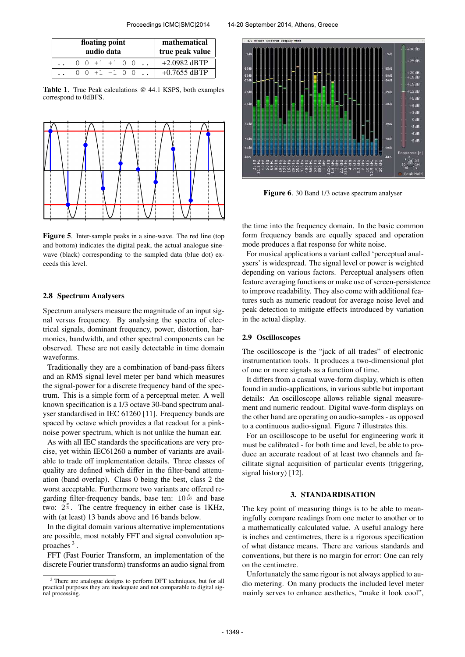| floating point<br>audio data |  |  |  |                            |  |  |  | mathematical<br>true peak value |
|------------------------------|--|--|--|----------------------------|--|--|--|---------------------------------|
| $\ddot{\phantom{0}}$         |  |  |  | $0 \t0 + 1 + 1 \t0 \t0 \t$ |  |  |  | $+2.0982$ dBTP                  |
|                              |  |  |  | $0 \t 0 +1 -1 0 0$         |  |  |  | $+0.7655$ dBTP                  |

Table 1. True Peak calculations @ 44.1 KSPS, both examples correspond to 0dBFS.



Figure 5. Inter-sample peaks in a sine-wave. The red line (top and bottom) indicates the digital peak, the actual analogue sinewave (black) corresponding to the sampled data (blue dot) exceeds this level.

## 2.8 Spectrum Analysers

Spectrum analysers measure the magnitude of an input signal versus frequency. By analysing the spectra of electrical signals, dominant frequency, power, distortion, harmonics, bandwidth, and other spectral components can be observed. These are not easily detectable in time domain waveforms.

Traditionally they are a combination of band-pass filters and an RMS signal level meter per band which measures the signal-power for a discrete frequency band of the spectrum. This is a simple form of a perceptual meter. A well known specification is a 1/3 octave 30-band spectrum analyser standardised in IEC 61260 [11]. Frequency bands are spaced by octave which provides a flat readout for a pinknoise power spectrum, which is not unlike the human ear.

As with all IEC standards the specifications are very precise, yet within IEC61260 a number of variants are available to trade off implementation details. Three classes of quality are defined which differ in the filter-band attenuation (band overlap). Class 0 being the best, class 2 the worst acceptable. Furthermore two variants are offered regarding filter-frequency bands, base ten:  $10^{\frac{x}{10}}$  and base two:  $2^{\frac{x}{3}}$ . The centre frequency in either case is 1KHz, with (at least) 13 bands above and 16 bands below.

In the digital domain various alternative implementations are possible, most notably FFT and signal convolution approaches<sup>3</sup>.

FFT (Fast Fourier Transform, an implementation of the discrete Fourier transform) transforms an audio signal from



Figure 6. 30 Band 1/3 octave spectrum analyser

the time into the frequency domain. In the basic common form frequency bands are equally spaced and operation mode produces a flat response for white noise.

For musical applications a variant called 'perceptual analysers' is widespread. The signal level or power is weighted depending on various factors. Perceptual analysers often feature averaging functions or make use of screen-persistence to improve readability. They also come with additional features such as numeric readout for average noise level and peak detection to mitigate effects introduced by variation in the actual display.

#### 2.9 Oscilloscopes

The oscilloscope is the "jack of all trades" of electronic instrumentation tools. It produces a two-dimensional plot of one or more signals as a function of time.

It differs from a casual wave-form display, which is often found in audio-applications, in various subtle but important details: An oscilloscope allows reliable signal measurement and numeric readout. Digital wave-form displays on the other hand are operating on audio-samples - as opposed to a continuous audio-signal. Figure 7 illustrates this.

For an oscilloscope to be useful for engineering work it must be calibrated - for both time and level, be able to produce an accurate readout of at least two channels and facilitate signal acquisition of particular events (triggering, signal history) [12].

#### 3. STANDARDISATION

The key point of measuring things is to be able to meaningfully compare readings from one meter to another or to a mathematically calculated value. A useful analogy here is inches and centimetres, there is a rigorous specification of what distance means. There are various standards and conventions, but there is no margin for error: One can rely on the centimetre.

Unfortunately the same rigour is not always applied to audio metering. On many products the included level meter mainly serves to enhance aesthetics, "make it look cool",

<sup>3</sup> There are analogue designs to perform DFT techniques, but for all practical purposes they are inadequate and not comparable to digital signal processing.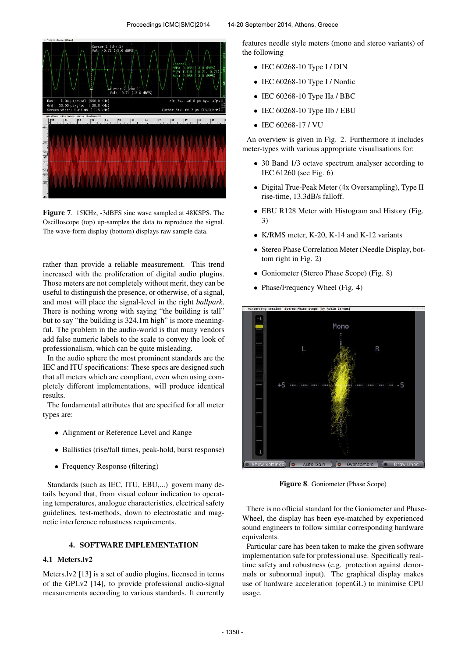

Figure 7. 15KHz, -3dBFS sine wave sampled at 48KSPS. The Oscilloscope (top) up-samples the data to reproduce the signal. The wave-form display (bottom) displays raw sample data.

rather than provide a reliable measurement. This trend increased with the proliferation of digital audio plugins. Those meters are not completely without merit, they can be useful to distinguish the presence, or otherwise, of a signal, and most will place the signal-level in the right *ballpark*. There is nothing wrong with saying "the building is tall" but to say "the building is 324.1m high" is more meaningful. The problem in the audio-world is that many vendors add false numeric labels to the scale to convey the look of professionalism, which can be quite misleading.

In the audio sphere the most prominent standards are the IEC and ITU specifications: These specs are designed such that all meters which are compliant, even when using completely different implementations, will produce identical results.

The fundamental attributes that are specified for all meter types are:

- Alignment or Reference Level and Range
- Ballistics (rise/fall times, peak-hold, burst response)
- Frequency Response (filtering)

Standards (such as IEC, ITU, EBU,...) govern many details beyond that, from visual colour indication to operating temperatures, analogue characteristics, electrical safety guidelines, test-methods, down to electrostatic and magnetic interference robustness requirements.

# 4. SOFTWARE IMPLEMENTATION

# 4.1 Meters.lv2

Meters.lv2 [13] is a set of audio plugins, licensed in terms of the GPLv2 [14], to provide professional audio-signal measurements according to various standards. It currently features needle style meters (mono and stereo variants) of the following

- IEC 60268-10 Type I / DIN
- $\bullet$  IEC 60268-10 Type I / Nordic
- IEC 60268-10 Type IIa / BBC
- IEC 60268-10 Type IIb / EBU
- IEC 60268-17 / VU

An overview is given in Fig. 2. Furthermore it includes meter-types with various appropriate visualisations for:

- 30 Band 1/3 octave spectrum analyser according to IEC 61260 (see Fig. 6)
- Digital True-Peak Meter (4x Oversampling), Type II rise-time, 13.3dB/s falloff.
- EBU R128 Meter with Histogram and History (Fig. 3)
- K/RMS meter, K-20, K-14 and K-12 variants
- Stereo Phase Correlation Meter (Needle Display, bottom right in Fig. 2)
- Goniometer (Stereo Phase Scope) (Fig. 8)
- Phase/Frequency Wheel (Fig. 4)



Figure 8. Goniometer (Phase Scope)

There is no official standard for the Goniometer and Phase-Wheel, the display has been eye-matched by experienced sound engineers to follow similar corresponding hardware equivalents.

Particular care has been taken to make the given software implementation safe for professional use. Specifically realtime safety and robustness (e.g. protection against denormals or subnormal input). The graphical display makes use of hardware acceleration (openGL) to minimise CPU usage.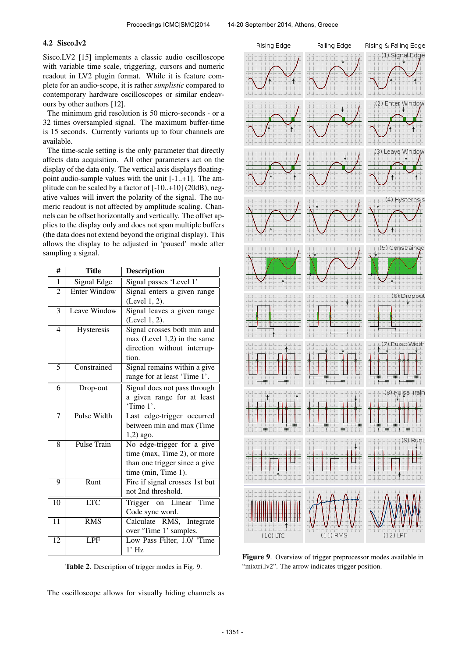#### 4.2 Sisco.lv2

Sisco.LV2 [15] implements a classic audio oscilloscope with variable time scale, triggering, cursors and numeric readout in LV2 plugin format. While it is feature complete for an audio-scope, it is rather *simplistic* compared to contemporary hardware oscilloscopes or similar endeavours by other authors [12].

The minimum grid resolution is 50 micro-seconds - or a 32 times oversampled signal. The maximum buffer-time is 15 seconds. Currently variants up to four channels are available.

The time-scale setting is the only parameter that directly affects data acquisition. All other parameters act on the display of the data only. The vertical axis displays floatingpoint audio-sample values with the unit [-1..+1]. The amplitude can be scaled by a factor of [-10..+10] (20dB), negative values will invert the polarity of the signal. The numeric readout is not affected by amplitude scaling. Channels can be offset horizontally and vertically. The offset applies to the display only and does not span multiple buffers (the data does not extend beyond the original display). This allows the display to be adjusted in 'paused' mode after sampling a signal.

| #               | Title              | <b>Description</b>                                 |
|-----------------|--------------------|----------------------------------------------------|
| 1               | Signal Edge        | Signal passes 'Level 1'                            |
| $\overline{2}$  | Enter Window       | Signal enters a given range                        |
|                 |                    | (Level 1, 2).                                      |
| 3               | Leave Window       | Signal leaves a given range                        |
|                 |                    | (Level 1, 2).                                      |
| $\overline{4}$  | Hysteresis         | Signal crosses both min and                        |
|                 |                    | $max$ (Level 1,2) in the same                      |
|                 |                    | direction without interrup-                        |
|                 |                    | tion.                                              |
| 5               | Constrained        | Signal remains within a give                       |
|                 |                    | range for at least 'Time 1'.                       |
| 6               | Drop-out           | Signal does not pass through                       |
|                 |                    | a given range for at least                         |
|                 |                    | 'Time 1'.                                          |
| 7               | <b>Pulse Width</b> | Last edge-trigger occurred                         |
|                 |                    | between min and max (Time                          |
|                 |                    | $1,2)$ ago.                                        |
| 8               | <b>Pulse Train</b> | No edge-trigger for a give                         |
|                 |                    | time (max, Time 2), or more                        |
|                 |                    | than one trigger since a give                      |
|                 |                    | time (min, Time 1).                                |
| 9               | Runt               | Fire if signal crosses 1st but                     |
|                 |                    | not 2nd threshold.                                 |
| $\overline{10}$ | <b>LTC</b>         | Trigger on Linear<br>Time                          |
|                 |                    | Code sync word.                                    |
| 11              | <b>RMS</b>         | $\overline{\text{Calculate}}$<br>RMS,<br>Integrate |
|                 |                    | over 'Time 1' samples.                             |
| 12              | LPF                | Low Pass Filter, 1.0/ 'Time                        |
|                 |                    | $1'$ Hz                                            |

Table 2. Description of trigger modes in Fig. 9.

The oscilloscope allows for visually hiding channels as



Figure 9. Overview of trigger preprocessor modes available in "mixtri.lv2". The arrow indicates trigger position.